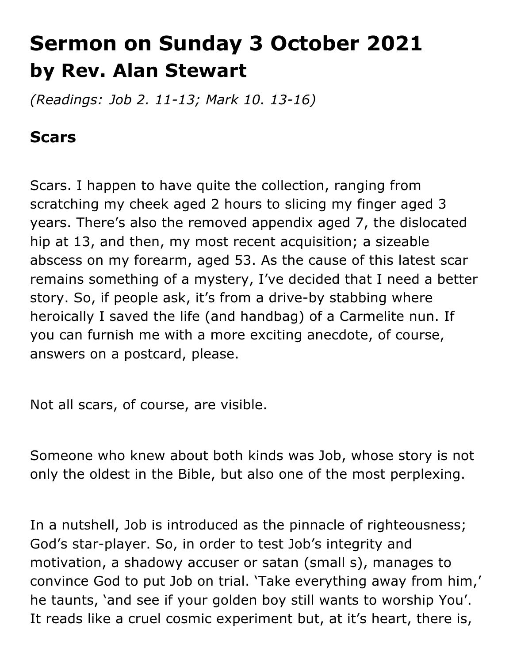## **Sermon on Sunday 3 October 2021 by Rev. Alan Stewart**

*(Readings: Job 2. 11-13; Mark 10. 13-16)*

## **Scars**

Scars. I happen to have quite the collection, ranging from scratching my cheek aged 2 hours to slicing my finger aged 3 years. There's also the removed appendix aged 7, the dislocated hip at 13, and then, my most recent acquisition; a sizeable abscess on my forearm, aged 53. As the cause of this latest scar remains something of a mystery, I've decided that I need a better story. So, if people ask, it's from a drive-by stabbing where heroically I saved the life (and handbag) of a Carmelite nun. If you can furnish me with a more exciting anecdote, of course, answers on a postcard, please.

Not all scars, of course, are visible.

Someone who knew about both kinds was Job, whose story is not only the oldest in the Bible, but also one of the most perplexing.

In a nutshell, Job is introduced as the pinnacle of righteousness; God's star-player. So, in order to test Job's integrity and motivation, a shadowy accuser or satan (small s), manages to convince God to put Job on trial. 'Take everything away from him,' he taunts, 'and see if your golden boy still wants to worship You'. It reads like a cruel cosmic experiment but, at it's heart, there is,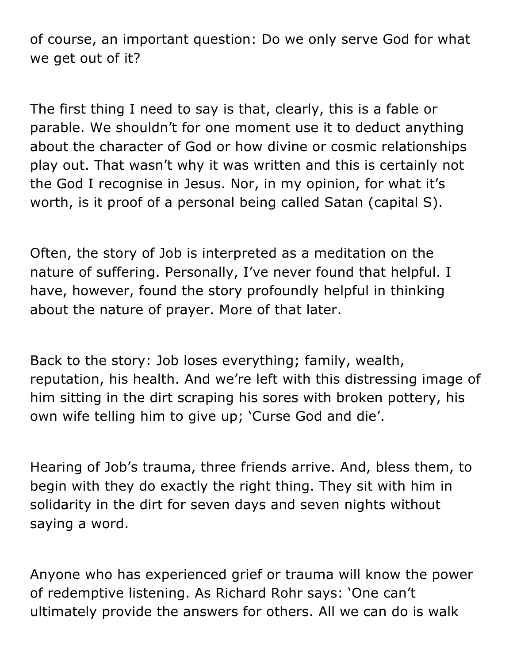of course, an important question: Do we only serve God for what we get out of it?

The first thing I need to say is that, clearly, this is a fable or parable. We shouldn't for one moment use it to deduct anything about the character of God or how divine or cosmic relationships play out. That wasn't why it was written and this is certainly not the God I recognise in Jesus. Nor, in my opinion, for what it's worth, is it proof of a personal being called Satan (capital S).

Often, the story of Job is interpreted as a meditation on the nature of suffering. Personally, I've never found that helpful. I have, however, found the story profoundly helpful in thinking about the nature of prayer. More of that later.

Back to the story: Job loses everything; family, wealth, reputation, his health. And we're left with this distressing image of him sitting in the dirt scraping his sores with broken pottery, his own wife telling him to give up; 'Curse God and die'.

Hearing of Job's trauma, three friends arrive. And, bless them, to begin with they do exactly the right thing. They sit with him in solidarity in the dirt for seven days and seven nights without saying a word.

Anyone who has experienced grief or trauma will know the power of redemptive listening. As Richard Rohr says: 'One can't ultimately provide the answers for others. All we can do is walk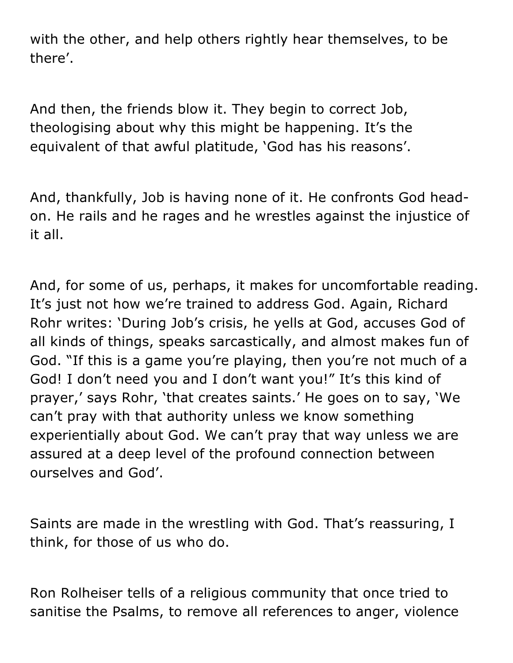with the other, and help others rightly hear themselves, to be there'.

And then, the friends blow it. They begin to correct Job, theologising about why this might be happening. It's the equivalent of that awful platitude, 'God has his reasons'.

And, thankfully, Job is having none of it. He confronts God headon. He rails and he rages and he wrestles against the injustice of it all.

And, for some of us, perhaps, it makes for uncomfortable reading. It's just not how we're trained to address God. Again, Richard Rohr writes: 'During Job's crisis, he yells at God, accuses God of all kinds of things, speaks sarcastically, and almost makes fun of God. "If this is a game you're playing, then you're not much of a God! I don't need you and I don't want you!" It's this kind of prayer,' says Rohr, 'that creates saints.' He goes on to say, 'We can't pray with that authority unless we know something experientially about God. We can't pray that way unless we are assured at a deep level of the profound connection between ourselves and God'.

Saints are made in the wrestling with God. That's reassuring, I think, for those of us who do.

Ron Rolheiser tells of a religious community that once tried to sanitise the Psalms, to remove all references to anger, violence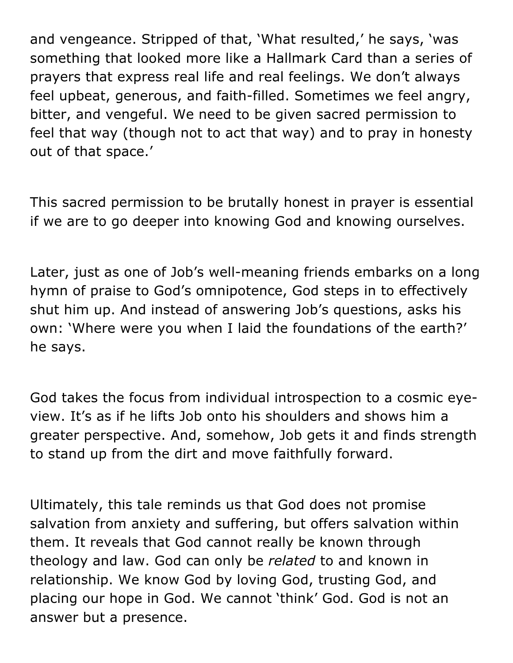and vengeance. Stripped of that, 'What resulted,' he says, 'was something that looked more like a Hallmark Card than a series of prayers that express real life and real feelings. We don't always feel upbeat, generous, and faith-filled. Sometimes we feel angry, bitter, and vengeful. We need to be given sacred permission to feel that way (though not to act that way) and to pray in honesty out of that space.'

This sacred permission to be brutally honest in prayer is essential if we are to go deeper into knowing God and knowing ourselves.

Later, just as one of Job's well-meaning friends embarks on a long hymn of praise to God's omnipotence, God steps in to effectively shut him up. And instead of answering Job's questions, asks his own: 'Where were you when I laid the foundations of the earth?' he says.

God takes the focus from individual introspection to a cosmic eyeview. It's as if he lifts Job onto his shoulders and shows him a greater perspective. And, somehow, Job gets it and finds strength to stand up from the dirt and move faithfully forward.

Ultimately, this tale reminds us that God does not promise salvation from anxiety and suffering, but offers salvation within them. It reveals that God cannot really be known through theology and law. God can only be *related* to and known in relationship. We know God by loving God, trusting God, and placing our hope in God. We cannot 'think' God. God is not an answer but a presence.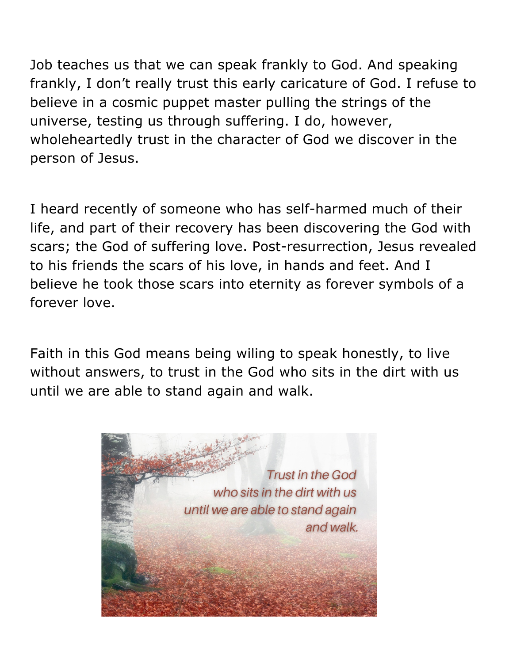Job teaches us that we can speak frankly to God. And speaking frankly, I don't really trust this early caricature of God. I refuse to believe in a cosmic puppet master pulling the strings of the universe, testing us through suffering. I do, however, wholeheartedly trust in the character of God we discover in the person of Jesus.

I heard recently of someone who has self-harmed much of their life, and part of their recovery has been discovering the God with scars; the God of suffering love. Post-resurrection, Jesus revealed to his friends the scars of his love, in hands and feet. And I believe he took those scars into eternity as forever symbols of a forever love.

Faith in this God means being wiling to speak honestly, to live without answers, to trust in the God who sits in the dirt with us until we are able to stand again and walk.